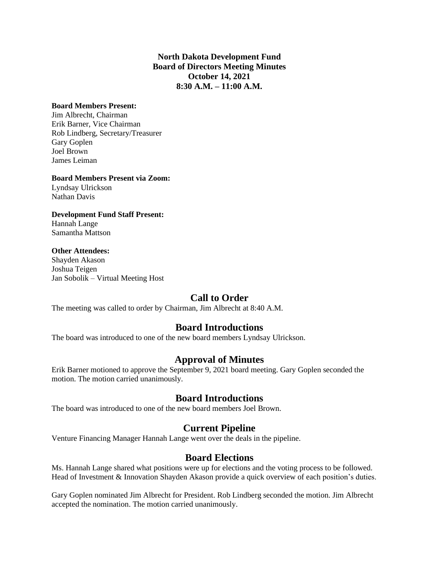#### **North Dakota Development Fund Board of Directors Meeting Minutes October 14, 2021 8:30 A.M. – 11:00 A.M.**

#### **Board Members Present:**

Jim Albrecht, Chairman Erik Barner, Vice Chairman Rob Lindberg, Secretary/Treasurer Gary Goplen Joel Brown James Leiman

#### **Board Members Present via Zoom:**

Lyndsay Ulrickson Nathan Davis

## **Development Fund Staff Present:**

Hannah Lange Samantha Mattson

#### **Other Attendees:**

Shayden Akason Joshua Teigen Jan Sobolik – Virtual Meeting Host

## **Call to Order**

The meeting was called to order by Chairman, Jim Albrecht at 8:40 A.M.

## **Board Introductions**

The board was introduced to one of the new board members Lyndsay Ulrickson.

## **Approval of Minutes**

Erik Barner motioned to approve the September 9, 2021 board meeting. Gary Goplen seconded the motion. The motion carried unanimously.

## **Board Introductions**

The board was introduced to one of the new board members Joel Brown.

# **Current Pipeline**

Venture Financing Manager Hannah Lange went over the deals in the pipeline.

## **Board Elections**

Ms. Hannah Lange shared what positions were up for elections and the voting process to be followed. Head of Investment & Innovation Shayden Akason provide a quick overview of each position's duties.

Gary Goplen nominated Jim Albrecht for President. Rob Lindberg seconded the motion. Jim Albrecht accepted the nomination. The motion carried unanimously.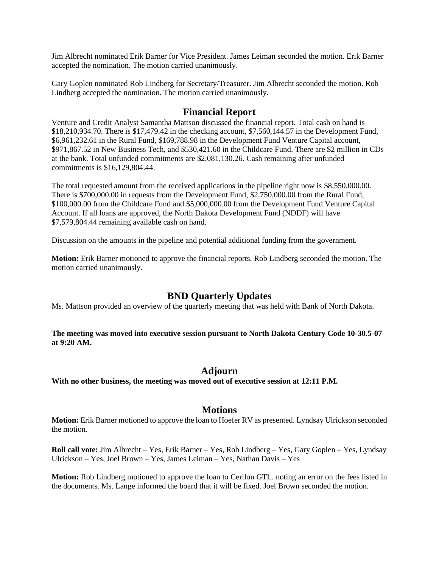Jim Albrecht nominated Erik Barner for Vice President. James Leiman seconded the motion. Erik Barner accepted the nomination. The motion carried unanimously.

Gary Goplen nominated Rob Lindberg for Secretary/Treasurer. Jim Albrecht seconded the motion. Rob Lindberg accepted the nomination. The motion carried unanimously.

#### **Financial Report**

Venture and Credit Analyst Samantha Mattson discussed the financial report. Total cash on hand is \$18,210,934.70. There is \$17,479.42 in the checking account, \$7,560,144.57 in the Development Fund, \$6,961,232.61 in the Rural Fund, \$169,788.98 in the Development Fund Venture Capital account, \$971,867.52 in New Business Tech, and \$530,421.60 in the Childcare Fund. There are \$2 million in CDs at the bank. Total unfunded commitments are \$2,081,130.26. Cash remaining after unfunded commitments is \$16,129,804.44.

The total requested amount from the received applications in the pipeline right now is \$8,550,000.00. There is \$700,000.00 in requests from the Development Fund, \$2,750,000.00 from the Rural Fund, \$100,000.00 from the Childcare Fund and \$5,000,000.00 from the Development Fund Venture Capital Account. If all loans are approved, the North Dakota Development Fund (NDDF) will have \$7,579,804.44 remaining available cash on hand.

Discussion on the amounts in the pipeline and potential additional funding from the government.

**Motion:** Erik Barner motioned to approve the financial reports. Rob Lindberg seconded the motion. The motion carried unanimously.

## **BND Quarterly Updates**

Ms. Mattson provided an overview of the quarterly meeting that was held with Bank of North Dakota.

**The meeting was moved into executive session pursuant to North Dakota Century Code 10-30.5-07 at 9:20 AM.**

#### **Adjourn**

**With no other business, the meeting was moved out of executive session at 12:11 P.M.**

#### **Motions**

**Motion:** Erik Barner motioned to approve the loan to Hoefer RV as presented. Lyndsay Ulrickson seconded the motion.

**Roll call vote:** Jim Albrecht – Yes, Erik Barner – Yes, Rob Lindberg – Yes, Gary Goplen – Yes, Lyndsay Ulrickson – Yes, Joel Brown – Yes, James Leiman – Yes, Nathan Davis – Yes

**Motion:** Rob Lindberg motioned to approve the loan to Cerilon GTL. noting an error on the fees listed in the documents. Ms. Lange informed the board that it will be fixed. Joel Brown seconded the motion.